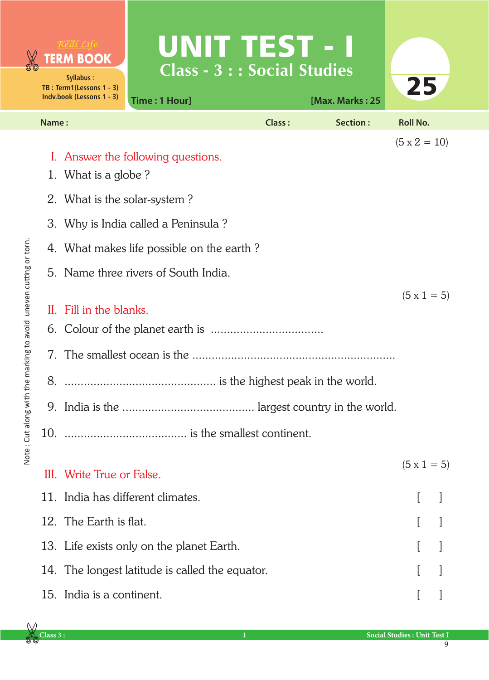|                                                                      |                                                                                  | <b>TERM BOOK</b><br>Syllabus:<br>TB: Term1(Lessons 1 - 3)<br>Indv.book (Lessons 1 - 3) | UNIT TEST - I<br><b>Class - 3 : : Social Studies</b><br>Time: 1 Hour] |               | [Max. Marks: 25 | 25                 |  |
|----------------------------------------------------------------------|----------------------------------------------------------------------------------|----------------------------------------------------------------------------------------|-----------------------------------------------------------------------|---------------|-----------------|--------------------|--|
|                                                                      | Name:                                                                            |                                                                                        |                                                                       | <b>Class:</b> | Section:        | <b>Roll No.</b>    |  |
| the marking to avoid uneven cutting or torn.<br>Note: Cut along with | $(5 \times 2 = 10)$<br>I. Answer the following questions.<br>1. What is a globe? |                                                                                        |                                                                       |               |                 |                    |  |
|                                                                      |                                                                                  | 2. What is the solar-system?                                                           |                                                                       |               |                 |                    |  |
|                                                                      | 3.                                                                               | Why is India called a Peninsula?                                                       |                                                                       |               |                 |                    |  |
|                                                                      |                                                                                  | 4. What makes life possible on the earth?                                              |                                                                       |               |                 |                    |  |
|                                                                      |                                                                                  | 5. Name three rivers of South India.                                                   |                                                                       |               |                 |                    |  |
|                                                                      | 8.                                                                               | $(5 \times 1 = 5)$<br>II. Fill in the blanks.                                          |                                                                       |               |                 |                    |  |
|                                                                      |                                                                                  | III. Write True or False.                                                              |                                                                       |               |                 | $(5 \times 1 = 5)$ |  |
|                                                                      |                                                                                  |                                                                                        | 11. India has different climates.                                     |               |                 |                    |  |
|                                                                      |                                                                                  | 12. The Earth is flat.                                                                 |                                                                       |               |                 |                    |  |
|                                                                      |                                                                                  |                                                                                        | 13. Life exists only on the planet Earth.                             |               |                 |                    |  |
|                                                                      |                                                                                  |                                                                                        | 14. The longest latitude is called the equator.                       |               |                 |                    |  |
|                                                                      |                                                                                  | 15. India is a continent.                                                              |                                                                       |               |                 |                    |  |

9